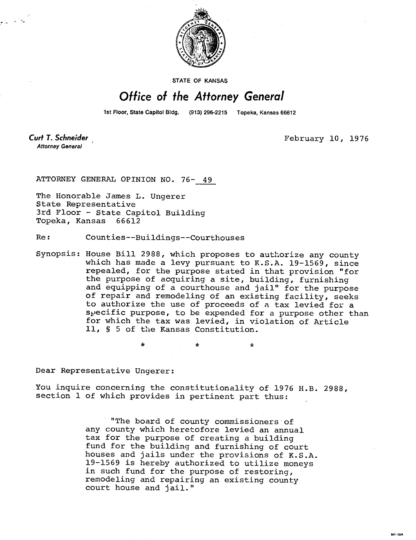

STATE OF KANSAS

## Office of the Attorney General

1st Floor, State Capitol Bldg. (913) 296-2215 Topeka, Kansas 66612

**Curt T. Schneider Attorney General** 

February 10, 1976

**MI-104** 

ATTORNEY GENERAL OPINION NO. 76- 49

The Honorable James L. Ungerer State Representative 3rd Floor - State Capitol Building Topeka, Kansas 66612

Re: Counties--Buildings--Courthouses

Synopsis: House Bill 2988, which proposes to authorize any county which has made a levy pursuant to K.S.A. 19-1569, since repealed, for the purpose stated in that provision "for the purpose of acquiring a site, building, furnishing and equipping of a courthouse and jail" for the purpose of repair and remodeling of an existing facility, seeks to authorize the use of proceeds of a tax levied for a specific purpose, to be expended for a purpose other than for which the tax was levied, in violation of Article 11, § 5 of the Kansas Constitution.

Dear Representative Ungerer:

You inquire concerning the constitutionality of 1976 H.B. 2988, section 1 of which provides in pertinent part thus:

> "The board of county commissioners of any county which heretofore levied an annual tax for the purpose of creating a building fund for the building and furnishing of court houses and jails under the provisions of K.S.A. 19-1569 is hereby authorized to utilize moneys in such fund for the purpose of restoring, remodeling and repairing an existing county court house and jail."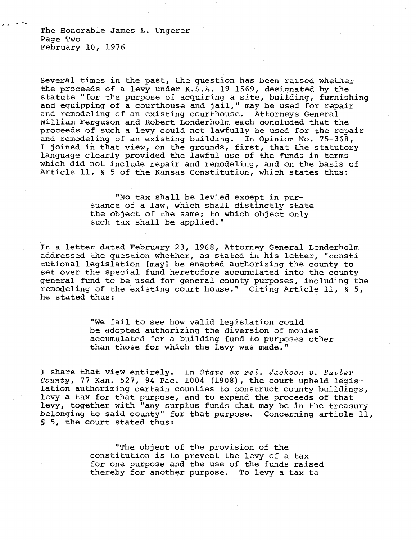The Honorable James L. Ungerer Page Two February 10, 1976

Several times in the past, the question has been raised whether the proceeds of a levy under K.S.A. 19-1569, designated by the statute "for the purpose of acquiring a site, building, furnishing and equipping of a courthouse and jail," may be used for repair and remodeling of an existing courthouse. Attorneys General William Ferguson and Robert Londerholm each concluded that the proceeds of such a levy could not lawfully be used for the repair and remodeling of an existing building. In Opinion No. 75-368, I joined in that view, on the grounds, first, that the statutory language clearly provided the lawful use of the funds in terms which did not include repair and remodeling, and on the basis of Article 11, § 5 of the Kansas Constitution, which states thus:

> "No tax shall be levied except in pursuance of a law, which shall distinctly state the object of the same; to which object only such tax shall be applied."

In a letter dated February 23, 1968, Attorney General Londerholm addressed the question whether, as stated in his letter, "constitutional legislation [may] be enacted authorizing the county to set over the special fund heretofore accumulated into the county general fund to be used for general county purposes, including the remodeling of the existing court house." Citing Article 11, § 5, he stated thus:

> "We fail to see how valid legislation could be adopted authorizing the diversion of monies accumulated for a building fund to purposes other than those for which the levy was made."

I share that view entirely. In State ex rel. Jackson v. Butler County, 77 Kan. 527, 94 Pac. 1004 (1908), the court upheld legislation authorizing certain counties to construct county buildings, levy a tax for that purpose, and to expend the proceeds of that levy, together with "any surplus funds that may be in the treasury belonging to said county" for that purpose. Concerning article 11, 5, the court stated thus:

> "The object of the provision of the constitution is to prevent the levy of a tax for one purpose and the use of the funds raised thereby for another purpose. To levy a tax to